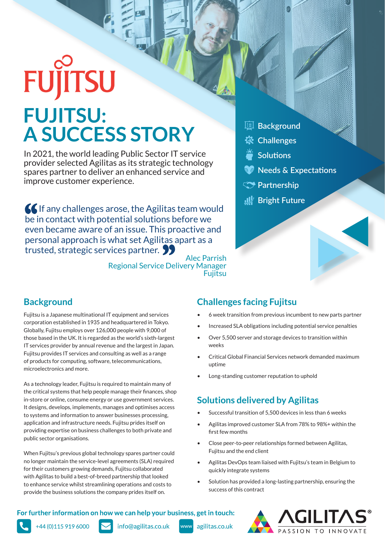# **FUJITSU FUJITSU: A SUCCESS STORY**

In 2021, the world leading Public Sector IT service provider selected Agilitas as its strategic technology spares partner to deliver an enhanced service and improve customer experience.

**If any challenges arose, the Agilitas team would** be in contact with potential solutions before we even became aware of an issue. This proactive and personal approach is what set Agilitas apart as a trusted, strategic services partner.

Alec Parrish Regional Service Delivery Manager **Fujitsu** 

- **Background** 囯
- **Challenges**
- **Solutions**
- **Needs & Expectations**
- **Partnership**
- **Bright Future**

# **Background**

Fujitsu is a Japanese multinational IT equipment and services corporation established in 1935 and headquartered in Tokyo. Globally, Fujitsu employs over 126,000 people with 9,000 of those based in the UK. It is regarded as the world's sixth-largest IT services provider by annual revenue and the largest in Japan. Fujitsu provides IT services and consulting as well as a range of products for computing, software, telecommunications, microelectronics and more.

As a technology leader, Fujitsu is required to maintain many of the critical systems that help people manage their finances, shop in-store or online, consume energy or use government services. It designs, develops, implements, manages and optimises access to systems and information to answer businesses processing, application and infrastructure needs. Fujitsu prides itself on providing expertise on business challenges to both private and public sector organisations.

When Fujitsu's previous global technology spares partner could no longer maintain the service-level agreements (SLA) required for their customers growing demands, Fujitsu collaborated with Agilitas to build a best-of-breed partnership that looked to enhance service whilst streamlining operations and costs to provide the business solutions the company prides itself on.

### **Challenges facing Fujitsu**

- 6 week transition from previous incumbent to new parts partner
- Increased SLA obligations including potential service penalties
- Over 5,500 server and storage devices to transition within weeks
- Critical Global Financial Services network demanded maximum uptime
- Long-standing customer reputation to uphold

# **Solutions delivered by Agilitas**

- Successful transition of 5,500 devices in less than 6 weeks
- Agilitas improved customer SLA from 78% to 98%+ within the first few months
- Close peer-to-peer relationships formed between Agilitas, Fujitsu and the end client
- Agilitas DevOps team liaised with Fujitsu's team in Belgium to quickly integrate systems
- Solution has provided a long-lasting partnership, ensuring the success of this contract

#### For further information on how we can help your business, get in touch:



+44 (0) 115 919 6000

info@agilitas.co.uk

www agilitas.co.uk